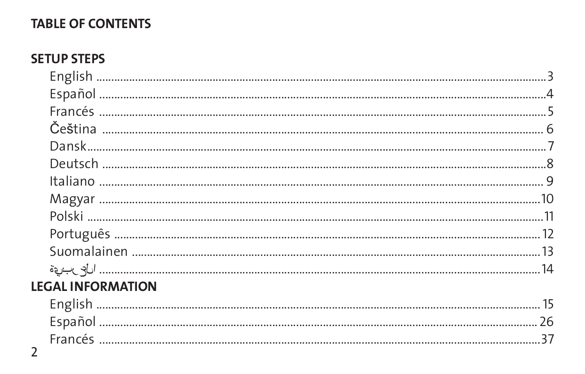### **TABLE OF CONTENTS**

### **SETUP STEPS**

| <b>EGAL INFORMATION</b> |  |
|-------------------------|--|
|                         |  |
|                         |  |
|                         |  |

L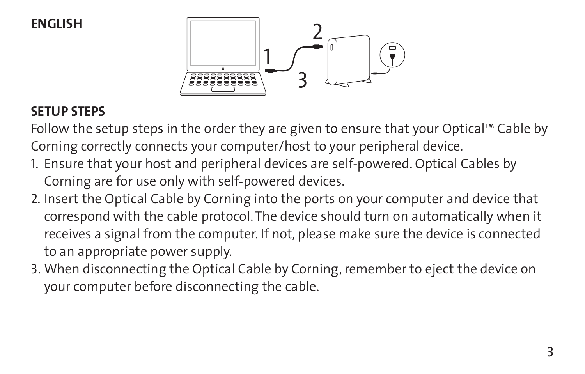**English**



### **SETUP STEPS**

Follow the setup steps in the order they are given to ensure that your Optical™ Cable by Corning correctly connects your computer/host to your peripheral device.

- 1. Ensure that your host and peripheral devices are self-powered. Optical Cables by Corning are for use only with self-powered devices.
- 2. Insert the Optical Cable by Corning into the ports on your computer and device that correspond with the cable protocol. The device should turn on automatically when it receives a signal from the computer. If not, please make sure the device is connected to an appropriate power supply.
- 3. When disconnecting the Optical Cable by Corning, remember to eject the device on your computer before disconnecting the cable.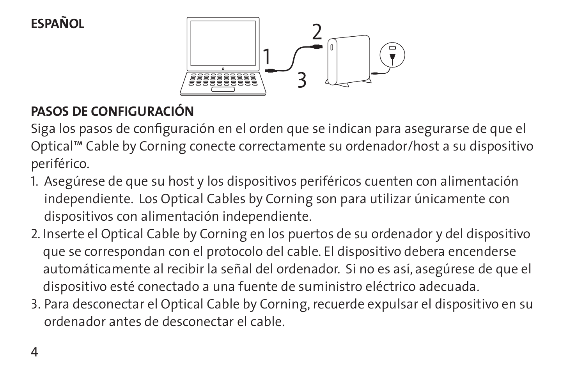## **Español**



# **Pasos de configuración**

Siga los pasos de configuración en el orden que se indican para asegurarse de que el Optical™ Cable by Corning conecte correctamente su ordenador/host a su dispositivo periférico.

- 1. Asegúrese de que su host y los dispositivos periféricos cuenten con alimentación independiente. Los Optical Cables by Corning son para utilizar únicamente con dispositivos con alimentación independiente.
- 2. Inserte el Optical Cable by Corning en los puertos de su ordenador y del dispositivo que se correspondan con el protocolo del cable. El dispositivo debera encenderse automáticamente al recibir la señal del ordenador. Si no es así, asegúrese de que el dispositivo esté conectado a una fuente de suministro eléctrico adecuada.
- 3. Para desconectar el Optical Cable by Corning, recuerde expulsar el dispositivo en su ordenador antes de desconectar el cable.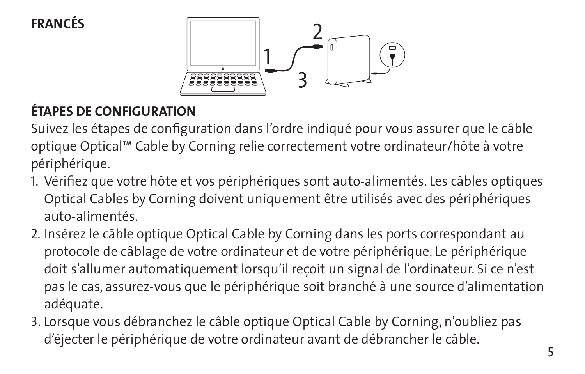**Francés**



## **ÉTAPES DE CONFIGURATION**

Suivez les étapes de configuration dans l'ordre indiqué pour vous assurer que le câble optique Optical™ Cable by Corning relie correctement votre ordinateur/hôte à votre périphérique.

- 1. Vérifiez que votre hôte et vos périphériques sont auto-alimentés. Les câbles optiques Optical Cables by Corning doivent uniquement être utilisés avec des périphériques auto-alimentés.
- 2. Insérez le câble optique Optical Cable by Corning dans les ports correspondant au protocole de câblage de votre ordinateur et de votre périphérique. Le périphérique doit s'allumer automatiquement lorsqu'il reçoit un signal de l'ordinateur. Si ce n'est pas le cas, assurez-vous que le périphérique soit branché à une source d'alimentation adéquate.
- 3. Lorsque vous débranchez le câble optique Optical Cable by Corning, n'oubliez pas d'éjecter le périphérique de votre ordinateur avant de débrancher le câble.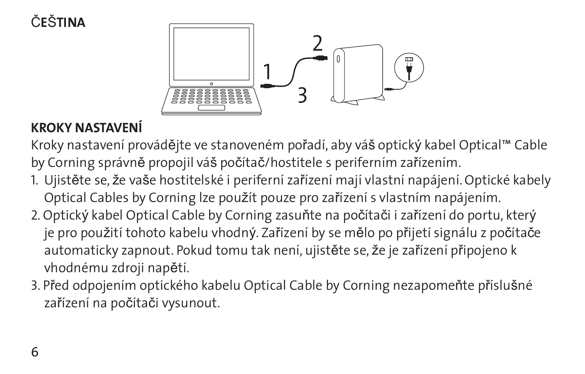# č**e**š**tina**



## **KROKY NASTAVENÍ**

Kroky nastavení provádějte ve stanoveném pořadí, aby váš optický kabel Optical™ Cable by Corning správně propojil váš počítač/hostitele s periferním zařízením.

- 1. Ujistěte se, že vaše hostitelské i periferní zařízení mají vlastní napájení. Optické kabely Optical Cables by Corning lze použít pouze pro zařízení s vlastním napájením.
- 2. Optický kabel Optical Cable by Corning zasuňte na počítači i zařízení do portu, který je pro použití tohoto kabelu vhodný. Zařízení by se mělo po přijetí signálu z počítače automaticky zapnout. Pokud tomu tak není, ujistěte se, že je zařízení připojeno k vhodnému zdroji napětí.
- 3. Před odpojením optického kabelu Optical Cable by Corning nezapomeňte příslušné zařízení na počítači vysunout.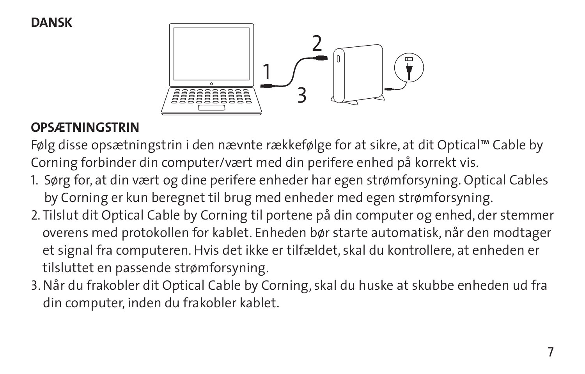**Dansk**



### **OPSÆTNINGSTRIN**

Følg disse opsætningstrin i den nævnte rækkefølge for at sikre, at dit Optical™ Cable by Corning forbinder din computer/vært med din perifere enhed på korrekt vis.

- 1. Sørg for, at din vært og dine perifere enheder har egen strømforsyning. Optical Cables by Corning er kun beregnet til brug med enheder med egen strømforsyning.
- 2. Tilslut dit Optical Cable by Corning til portene på din computer og enhed, der stemmer overens med protokollen for kablet. Enheden bør starte automatisk, når den modtager et signal fra computeren. Hvis det ikke er tilfældet, skal du kontrollere, at enheden er tilsluttet en passende strømforsyning.
- 3. Når du frakobler dit Optical Cable by Corning, skal du huske at skubbe enheden ud fra din computer, inden du frakobler kablet.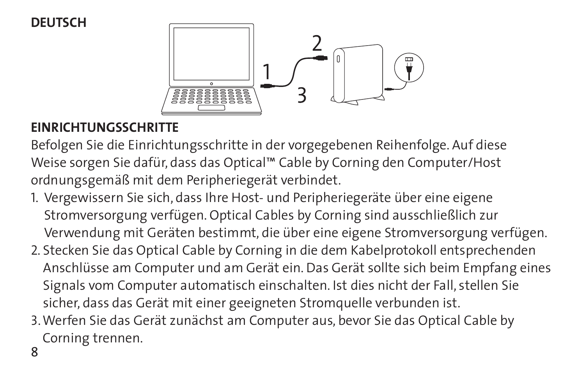### **Deutsch**



### **EINRICHTUNGSSCHRITTE**

Befolgen Sie die Einrichtungsschritte in der vorgegebenen Reihenfolge. Auf diese Weise sorgen Sie dafür, dass das Optical™ Cable by Corning den Computer/Host ordnungsgemäß mit dem Peripheriegerät verbindet.

- 1. Vergewissern Sie sich, dass Ihre Host- und Peripheriegeräte über eine eigene Stromversorgung verfügen. Optical Cables by Corning sind ausschließlich zur Verwendung mit Geräten bestimmt, die über eine eigene Stromversorgung verfügen.
- 2. Stecken Sie das Optical Cable by Corning in die dem Kabelprotokoll entsprechenden Anschlüsse am Computer und am Gerät ein. Das Gerät sollte sich beim Empfang eines Signals vom Computer automatisch einschalten. Ist dies nicht der Fall, stellen Sie sicher, dass das Gerät mit einer geeigneten Stromquelle verbunden ist.
- 3. Werfen Sie das Gerät zunächst am Computer aus, bevor Sie das Optical Cable by Corning trennen.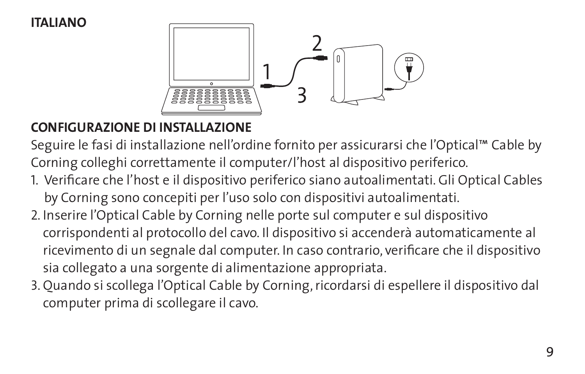#### **italiano**



### **CONFIGURAZIONE DI INSTALLAZIONE**

Seguire le fasi di installazione nell'ordine fornito per assicurarsi che l'Optical™ Cable by Corning colleghi correttamente il computer/l'host al dispositivo periferico.

1. Verificare che l'host e il dispositivo periferico siano autoalimentati. Gli Optical Cables

by Corning sono concepiti per l'uso solo con dispositivi autoalimentati.

- 2. Inserire l'Optical Cable by Corning nelle porte sul computer e sul dispositivo corrispondenti al protocollo del cavo. Il dispositivo si accenderà automaticamente al ricevimento di un segnale dal computer. In caso contrario, verificare che il dispositivo sia collegato a una sorgente di alimentazione appropriata.
- 3. Quando si scollega l'Optical Cable by Corning, ricordarsi di espellere il dispositivo dal computer prima di scollegare il cavo.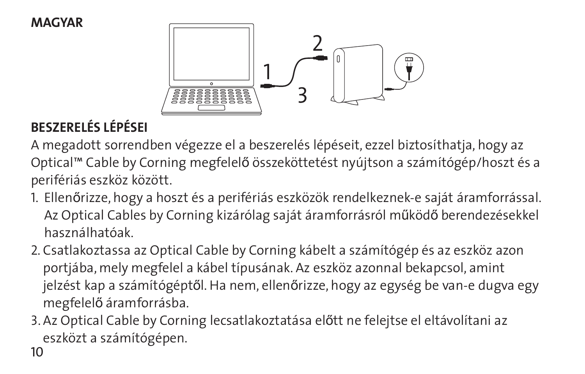#### **Magyar**



# **BESZERELÉS LÉPÉSEI**

A megadott sorrendben végezze el a beszerelés lépéseit, ezzel biztosíthatja, hogy az Optical™ Cable by Corning megfelelő összeköttetést nyújtson a számítógép/hoszt és a perifériás eszköz között.

- 1. Ellenőrizze, hogy a hoszt és a perifériás eszközök rendelkeznek-e saját áramforrással. Az Optical Cables by Corning kizárólag saját áramforrásról működő berendezésekkel használhatóak.
- 2. Csatlakoztassa az Optical Cable by Corning kábelt a számítógép és az eszköz azon portjába, mely megfelel a kábel típusának. Az eszköz azonnal bekapcsol, amint jelzést kap a számítógéptől. Ha nem, ellenőrizze, hogy az egység be van-e dugva egy megfelelő áramforrásba.
- 3. Az Optical Cable by Corning lecsatlakoztatása előtt ne felejtse el eltávolítani az eszközt a számítógépen.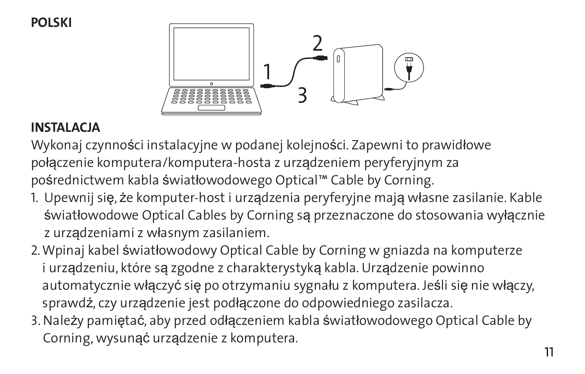**Polski**



#### **INSTALACJA**

Wykonaj czynności instalacyjne w podanej kolejności. Zapewni to prawidłowe połączenie komputera/komputera-hosta z urządzeniem peryferyjnym za pośrednictwem kabla światłowodowego Optical™ Cable by Corning.

- 1. Upewnij się, że komputer-host i urządzenia peryferyjne mają własne zasilanie. Kable światłowodowe Optical Cables by Corning są przeznaczone do stosowania wyłącznie z urządzeniami z własnym zasilaniem.
- 2. Wpinaj kabel światłowodowy Optical Cable by Corning w gniazda na komputerze i urządzeniu, które są zgodne z charakterystyką kabla. Urządzenie powinno automatycznie włączyć się po otrzymaniu sygnału z komputera. Jeśli się nie włączy, sprawdź, czy urządzenie jest podłączone do odpowiedniego zasilacza.
- 3. Należy pamiętać, aby przed odłączeniem kabla światłowodowego Optical Cable by Corning, wysunąć urządzenie z komputera.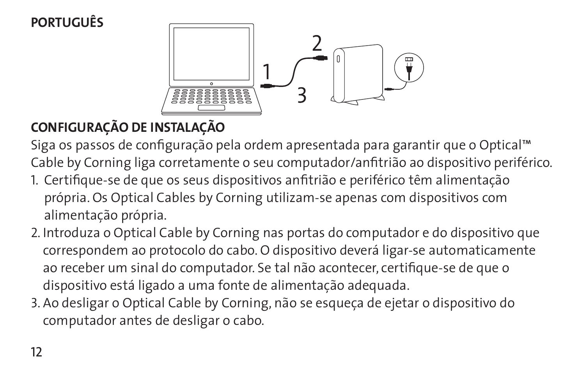# **português**



# **CONFIGURAÇÃO DE INSTALAÇÃO**

Siga os passos de configuração pela ordem apresentada para garantir que o Optical™ Cable by Corning liga corretamente o seu computador/anfitrião ao dispositivo periférico. 1. Certifique-se de que os seus dispositivos anfitrião e periférico têm alimentação

- própria. Os Optical Cables by Corning utilizam-se apenas com dispositivos com alimentação própria.
- 2. Introduza o Optical Cable by Corning nas portas do computador e do dispositivo que correspondem ao protocolo do cabo. O dispositivo deverá ligar-se automaticamente ao receber um sinal do computador. Se tal não acontecer, certifique-se de que o dispositivo está ligado a uma fonte de alimentação adequada.
- 3. Ao desligar o Optical Cable by Corning, não se esqueça de ejetar o dispositivo do computador antes de desligar o cabo.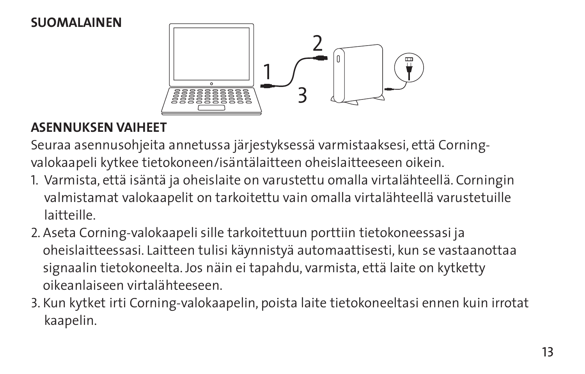### **Suomalainen**



### **ASENNUKSEN VAIHEET**

Seuraa asennusohjeita annetussa järjestyksessä varmistaaksesi, että Corningvalokaapeli kytkee tietokoneen/isäntälaitteen oheislaitteeseen oikein.

- 1. Varmista, että isäntä ja oheislaite on varustettu omalla virtalähteellä. Corningin valmistamat valokaapelit on tarkoitettu vain omalla virtalähteellä varustetuille laitteille.
- 2. Aseta Corning-valokaapeli sille tarkoitettuun porttiin tietokoneessasi ja oheislaitteessasi. Laitteen tulisi käynnistyä automaattisesti, kun se vastaanottaa signaalin tietokoneelta. Jos näin ei tapahdu, varmista, että laite on kytketty oikeanlaiseen virtalähteeseen.
- 3. Kun kytket irti Corning-valokaapelin, poista laite tietokoneeltasi ennen kuin irrotat kaapelin.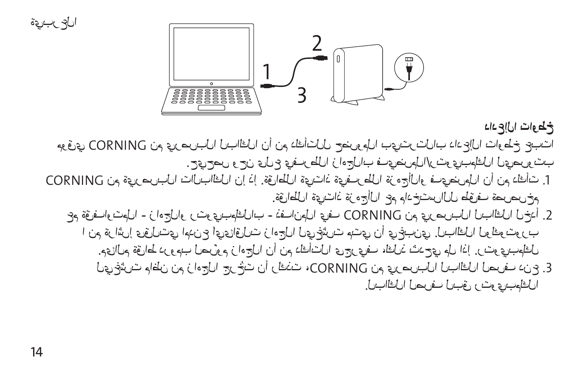$\frac{2}{\sqrt{2}}$ 

**خطوات الإعداد**

جوقري CORNING نج عٍرصريبلا ليبالغل نأ نج دكاأتلل حضروجلا ببيتر بتلاب دادع إلى ناوطخ عجبت . بي بصر و بن على على نواح الم المستعمل بالم بتوى بالم المضيف بالمصر بوت بالمصر بعد بالمصر بوت ب

CORNING نم قوِرصربال تالبالغل ن! ذا قوَّاطلا قوِتاذ قوِف طلّا قرْمج ألاك فـعوضرمانا ناً نم دكانت .1 . فق اطل في تاذ فز مع أل عم مادختس الل طوّيف فصريص خم

عم قوْفاوت:(الحاراء زاه جلالو رتوي بالم فالباب - ذفان ولما ي ف CORNING في يرد صرب لما له بالفل الم خداً .2 ا زيم قر اش؛ ي قبلتي، امدن ع أي يتمازقيات ز امجل لي غشرت متنى ز،أ ي غ بين، بي بل بالفل لي كو تو رب لموتاله فقاط در وجب لصريّوم زامجل نرأ نهم دك أشل ويجر وبف ، فقل: شدجو، مل اذا إر شو ويبوكل لْكِي عُشْتَ ماطْنْ نم زامجلْ جرخْت نأ ركْخْتَ ،CORNING، تم عِرْصريبل لبالغْل لصريف دنع ع العبالغال لصرف لسبق رئوي بمطفل

العربية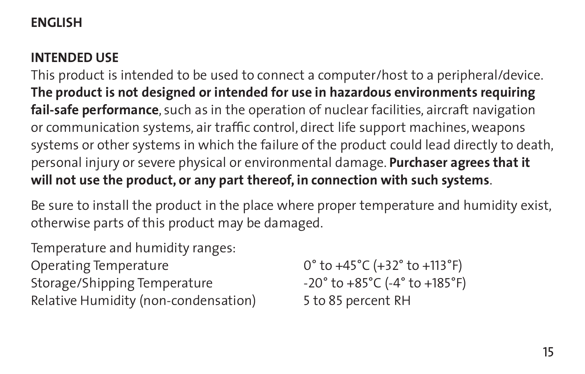### **English**

### **intended USE**

This product is intended to be used to connect a computer/host to a peripheral/device. **The product is not designed or intended for use in hazardous environments requiring fail-safe performance**, such as in the operation of nuclear facilities, aircraft navigation or communication systems, air traffic control, direct life support machines, weapons systems or other systems in which the failure of the product could lead directly to death, personal injury or severe physical or environmental damage. **Purchaser agrees that it will not use the product, or any part thereof, in connection with such systems**.

Be sure to install the product in the place where proper temperature and humidity exist, otherwise parts of this product may be damaged.

Temperature and humidity ranges:

Operating Temperature 0° to +45°C (+32° to +113°F) Storage/Shipping Temperature -20° to +85°C (-4° to +185°F) Relative Humidity (non-condensation) 5 to 85 percent RH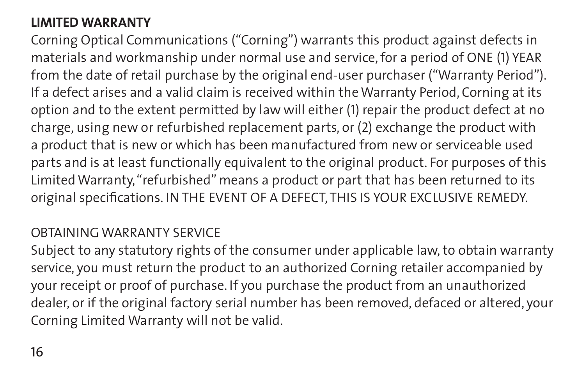### **LIMITED WARRANTY**

Corning Optical Communications ("Corning") warrants this product against defects in materials and workmanship under normal use and service, for a period of ONE (1) YEAR from the date of retail purchase by the original end-user purchaser ("Warranty Period"). If a defect arises and a valid claim is received within the Warranty Period, Corning at its option and to the extent permitted by law will either (1) repair the product defect at no charge, using new or refurbished replacement parts, or (2) exchange the product with a product that is new or which has been manufactured from new or serviceable used parts and is at least functionally equivalent to the original product. For purposes of this Limited Warranty, "refurbished" means a product or part that has been returned to its original specifications. IN THE EVENT OF A DEFECT, THIS IS YOUR EXCLUSIVE REMEDY.

#### OBTAINING WARRANTY SERVICE

Subject to any statutory rights of the consumer under applicable law, to obtain warranty service, you must return the product to an authorized Corning retailer accompanied by your receipt or proof of purchase. If you purchase the product from an unauthorized dealer, or if the original factory serial number has been removed, defaced or altered, your Corning Limited Warranty will not be valid.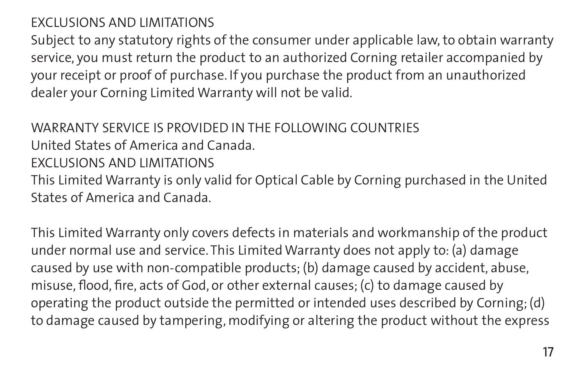### EXCLUSIONS AND LIMITATIONS

Subject to any statutory rights of the consumer under applicable law, to obtain warranty service, you must return the product to an authorized Corning retailer accompanied by your receipt or proof of purchase. If you purchase the product from an unauthorized dealer your Corning Limited Warranty will not be valid.

#### WARRANTY SERVICE IS PROVIDED IN THE FOLLOWING COUNTRIES

United States of America and Canada.

#### EXCLUSIONS AND LIMITATIONS

This Limited Warranty is only valid for Optical Cable by Corning purchased in the United States of America and Canada.

This Limited Warranty only covers defects in materials and workmanship of the product under normal use and service. This Limited Warranty does not apply to: (a) damage caused by use with non-compatible products; (b) damage caused by accident, abuse, misuse, flood, fire, acts of God, or other external causes; (c) to damage caused by operating the product outside the permitted or intended uses described by Corning; (d) to damage caused by tampering, modifying or altering the product without the express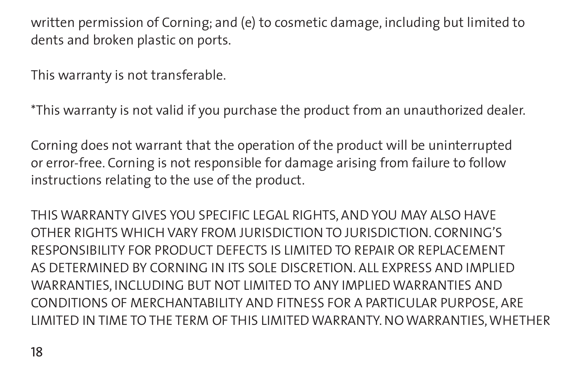written permission of Corning; and (e) to cosmetic damage, including but limited to dents and broken plastic on ports.

This warranty is not transferable.

\*This warranty is not valid if you purchase the product from an unauthorized dealer.

Corning does not warrant that the operation of the product will be uninterrupted or error-free. Corning is not responsible for damage arising from failure to follow instructions relating to the use of the product.

THIS WARRANTY GIVES YOU SPECIFIC LEGAL RIGHTS, AND YOU MAY ALSO HAVE OTHER RIGHTS WHICH VARY FROM JURISDICTION TO JURISDICTION. CORNING'S RESPONSIBILITY FOR PRODUCT DEFECTS IS LIMITED TO REPAIR OR REPLACEMENT AS DETERMINED BY CORNING IN ITS SOLE DISCRETION. ALL EXPRESS AND IMPLIED WARRANTIES, INCLUDING BUT NOT LIMITED TO ANY IMPLIED WARRANTIES AND CONDITIONS OF MERCHANTABILITY AND FITNESS FOR A PARTICULAR PURPOSE, ARE LIMITED IN TIME TO THE TERM OF THIS LIMITED WARRANTY. NO WARRANTIES, WHETHER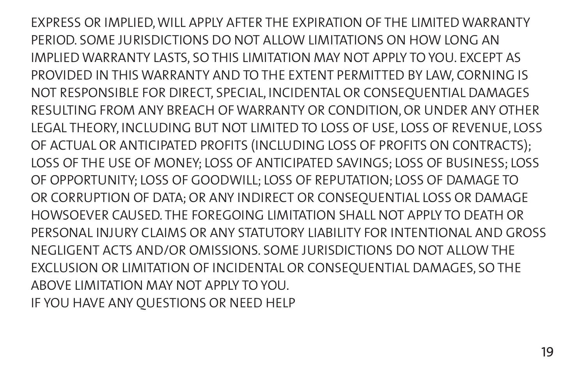EXPRESS OR IMPLIED, WILL APPLY AFTER THE EXPIRATION OF THE LIMITED WARRANTY PERIOD. SOME JURISDICTIONS DO NOT ALLOW LIMITATIONS ON HOW LONG AN IMPLIED WARRANTY LASTS, SO THIS LIMITATION MAY NOT APPLY TO YOU. EXCEPT AS PROVIDED IN THIS WARRANTY AND TO THE EXTENT PERMITTED BY LAW, CORNING IS NOT RESPONSIBLE FOR DIRECT, SPECIAL, INCIDENTAL OR CONSEQUENTIAL DAMAGES RESULTING FROM ANY BREACH OF WARRANTY OR CONDITION, OR UNDER ANY OTHER LEGAL THEORY, INCLUDING BUT NOT LIMITED TO LOSS OF USE, LOSS OF REVENUE, LOSS OF ACTUAL OR ANTICIPATED PROFITS (INCLUDING LOSS OF PROFITS ON CONTRACTS); LOSS OF THE USE OF MONEY; LOSS OF ANTICIPATED SAVINGS; LOSS OF BUSINESS; LOSS OF OPPORTUNITY; LOSS OF GOODWILL; LOSS OF REPUTATION; LOSS OF DAMAGE TO OR CORRUPTION OF DATA; OR ANY INDIRECT OR CONSEQUENTIAL LOSS OR DAMAGE HOWSOEVER CAUSED. THE FOREGOING LIMITATION SHALL NOT APPLY TO DEATH OR PERSONAL INJURY CLAIMS OR ANY STATUTORY LIABILITY FOR INTENTIONAL AND GROSS NEGLIGENT ACTS AND/OR OMISSIONS. SOME JURISDICTIONS DO NOT ALLOW THE EXCLUSION OR LIMITATION OF INCIDENTAL OR CONSEQUENTIAL DAMAGES, SO THE ABOVE LIMITATION MAY NOT APPLY TO YOU. IF YOU HAVE ANY QUESTIONS OR NEED HELP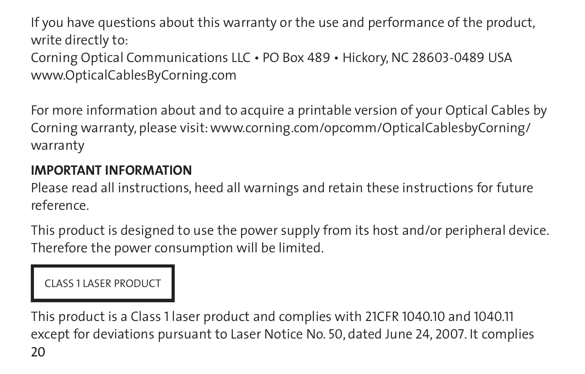If you have questions about this warranty or the use and performance of the product, write directly to: Corning Optical Communications LLC • PO Box 489 • Hickory, NC 28603-0489 USA www.OpticalCablesByCorning.com

For more information about and to acquire a printable version of your Optical Cables by Corning warranty, please visit: www.corning.com/opcomm/OpticalCablesbyCorning/ warranty

### **IMPORTANT INFORMATION**

Please read all instructions, heed all warnings and retain these instructions for future reference.

This product is designed to use the power supply from its host and/or peripheral device. Therefore the power consumption will be limited.

Class 1 laser product

 $20$ This product is a Class 1 laser product and complies with 21CFR 1040.10 and 1040.11 except for deviations pursuant to Laser Notice No. 50, dated June 24, 2007. It complies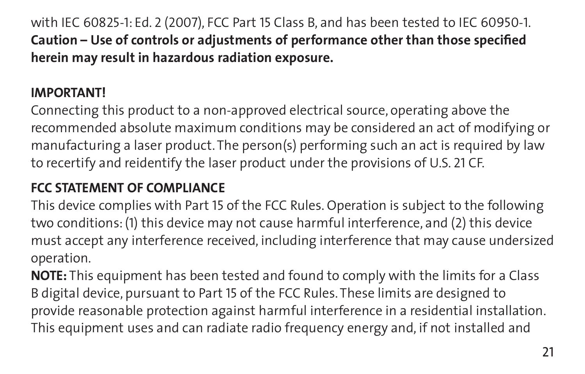with IEC 60825-1: Ed. 2 (2007), FCC Part 15 Class B, and has been tested to IEC 60950-1. **Caution – Use of controls or adjustments of performance other than those specified herein may result in hazardous radiation exposure.** 

### **IMPORTANT!**

Connecting this product to a non-approved electrical source, operating above the recommended absolute maximum conditions may be considered an act of modifying or manufacturing a laser product. The person(s) performing such an act is required by law to recertify and reidentify the laser product under the provisions of U.S. 21 CF.

## **FCC STATEMENT OF COMPLIANCE**

This device complies with Part 15 of the FCC Rules. Operation is subject to the following two conditions: (1) this device may not cause harmful interference, and (2) this device must accept any interference received, including interference that may cause undersized operation.

**NOTE:** This equipment has been tested and found to comply with the limits for a Class B digital device, pursuant to Part 15 of the FCC Rules. These limits are designed to provide reasonable protection against harmful interference in a residential installation. This equipment uses and can radiate radio frequency energy and, if not installed and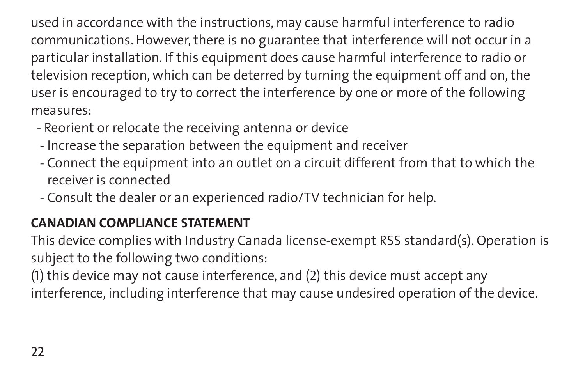used in accordance with the instructions, may cause harmful interference to radio communications. However, there is no guarantee that interference will not occur in a particular installation. If this equipment does cause harmful interference to radio or television reception, which can be deterred by turning the equipment off and on, the user is encouraged to try to correct the interference by one or more of the following measures:

- Reorient or relocate the receiving antenna or device
- Increase the separation between the equipment and receiver
- Connect the equipment into an outlet on a circuit different from that to which the receiver is connected
- Consult the dealer or an experienced radio/TV technician for help.

## **CANADIAN COMPLIANCE STATEMENT**

This device complies with Industry Canada license-exempt RSS standard(s). Operation is subject to the following two conditions:

(1) this device may not cause interference, and (2) this device must accept any interference, including interference that may cause undesired operation of the device.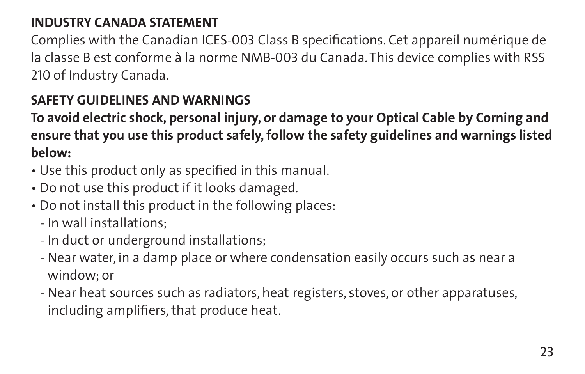### **INDUSTRY CANADA STATEMENT**

Complies with the Canadian ICES-003 Class B specifications. Cet appareil numérique de la classe B est conforme à la norme NMB-003 du Canada. This device complies with RSS 210 of Industry Canada.

### **SAFETY GUIDELINES AND WARNINGS**

**To avoid electric shock, personal injury, or damage to your Optical Cable by Corning and ensure that you use this product safely, follow the safety guidelines and warnings listed below:**

- Use this product only as specified in this manual.
- Do not use this product if it looks damaged.
- Do not install this product in the following places:
	- In wall installations;
	- In duct or underground installations;
	- Near water, in a damp place or where condensation easily occurs such as near a window; or
	- Near heat sources such as radiators, heat registers, stoves, or other apparatuses, including amplifiers, that produce heat.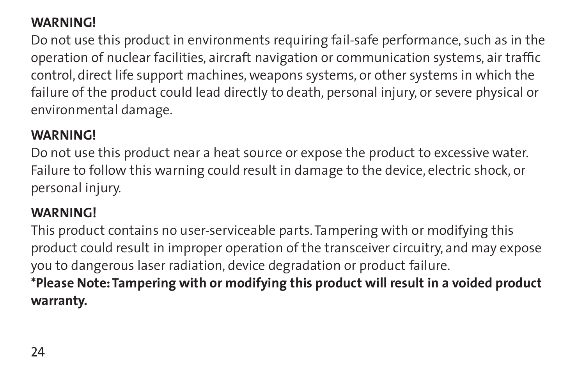### **WARNING!**

Do not use this product in environments requiring fail-safe performance, such as in the operation of nuclear facilities, aircraft navigation or communication systems, air traffic control, direct life support machines, weapons systems, or other systems in which the failure of the product could lead directly to death, personal injury, or severe physical or environmental damage.

#### **WARNING!**

Do not use this product near a heat source or expose the product to excessive water. Failure to follow this warning could result in damage to the device, electric shock, or personal injury.

### **WARNING!**

This product contains no user-serviceable parts. Tampering with or modifying this product could result in improper operation of the transceiver circuitry, and may expose you to dangerous laser radiation, device degradation or product failure. **\*Please Note: Tampering with or modifying this product will result in a voided product warranty.**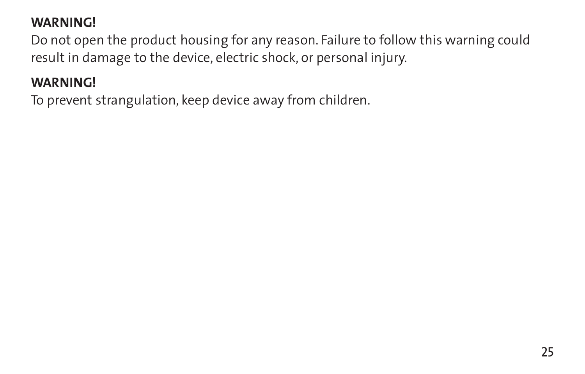### **WARNING!**

Do not open the product housing for any reason. Failure to follow this warning could result in damage to the device, electric shock, or personal injury.

### **WARNING!**

To prevent strangulation, keep device away from children.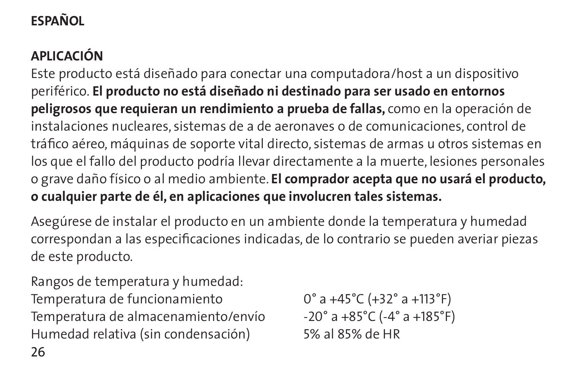# **Español**

## **Aplicación**

Este producto está diseñado para conectar una computadora/host a un dispositivo periférico. **El producto no está diseñado ni destinado para ser usado en entornos peligrosos que requieran un rendimiento a prueba de fallas,** como en la operación de instalaciones nucleares, sistemas de a de aeronaves o de comunicaciones, control de tráfico aéreo, máquinas de soporte vital directo, sistemas de armas u otros sistemas en los que el fallo del producto podría llevar directamente a la muerte, lesiones personales o grave daño físico o al medio ambiente. **El comprador acepta que no usará el producto, o cualquier parte de él, en aplicaciones que involucren tales sistemas.**

Asegúrese de instalar el producto en un ambiente donde la temperatura y humedad correspondan a las especificaciones indicadas, de lo contrario se pueden averiar piezas de este producto.

Rangos de temperatura y humedad: Temperatura de funcionamiento 0° a +45°C (+32° a +113°F) Temperatura de almacenamiento/envío  $-20^\circ$  a +85°C (-4° a +185°F) Humedad relativa (sin condensación) 5% al 85% de HR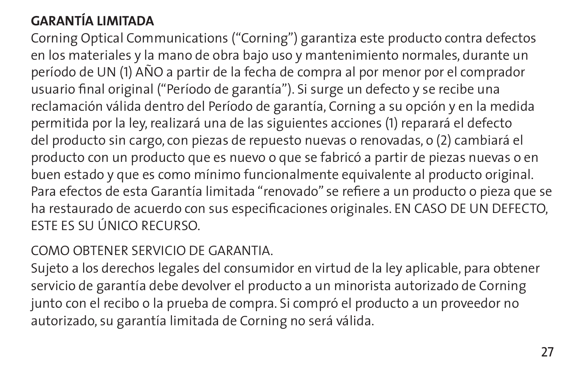## **GARANTÍA LIMITADA**

Corning Optical Communications ("Corning") garantiza este producto contra defectos en los materiales y la mano de obra bajo uso y mantenimiento normales, durante un período de UN (1) AÑO a partir de la fecha de compra al por menor por el comprador usuario final original ("Período de garantía"). Si surge un defecto y se recibe una reclamación válida dentro del Período de garantía, Corning a su opción y en la medida permitida por la ley, realizará una de las siguientes acciones (1) reparará el defecto del producto sin cargo, con piezas de repuesto nuevas o renovadas, o (2) cambiará el producto con un producto que es nuevo o que se fabricó a partir de piezas nuevas o en buen estado y que es como mínimo funcionalmente equivalente al producto original. Para efectos de esta Garantía limitada "renovado" se refiere a un producto o pieza que se ha restaurado de acuerdo con sus especificaciones originales. EN CASO DE UN DEFECTO, ESTE ES SU ÚNICO RECURSO.

### COMO OBTENER SERVICIO DE GARANTIA.

Sujeto a los derechos legales del consumidor en virtud de la ley aplicable, para obtener servicio de garantía debe devolver el producto a un minorista autorizado de Corning junto con el recibo o la prueba de compra. Si compró el producto a un proveedor no autorizado, su garantía limitada de Corning no será válida.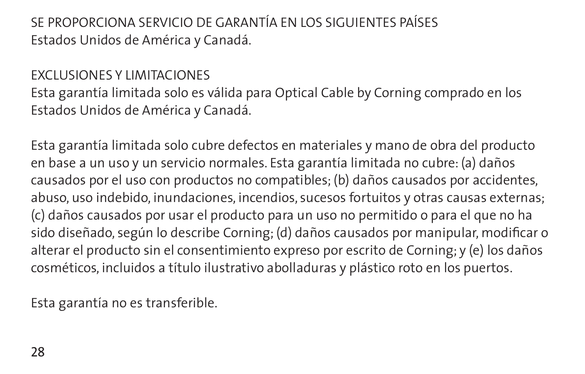SE PROPORCIONA SERVICIO DE GARANTÍA EN LOS SIGUIENTES PAÍSES Estados Unidos de América y Canadá.

#### EXCLUSIONES Y LIMITACIONES

Esta garantía limitada solo es válida para Optical Cable by Corning comprado en los Estados Unidos de América y Canadá.

Esta garantía limitada solo cubre defectos en materiales y mano de obra del producto en base a un uso y un servicio normales. Esta garantía limitada no cubre: (a) daños causados por el uso con productos no compatibles; (b) daños causados por accidentes, abuso, uso indebido, inundaciones, incendios, sucesos fortuitos y otras causas externas; (c) daños causados por usar el producto para un uso no permitido o para el que no ha sido diseñado, según lo describe Corning; (d) daños causados por manipular, modificar o alterar el producto sin el consentimiento expreso por escrito de Corning; y (e) los daños cosméticos, incluidos a título ilustrativo abolladuras y plástico roto en los puertos.

Esta garantía no es transferible.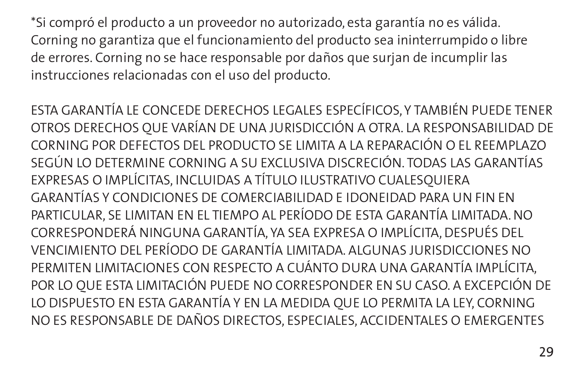\*Si compró el producto a un proveedor no autorizado, esta garantía no es válida. Corning no garantiza que el funcionamiento del producto sea ininterrumpido o libre de errores. Corning no se hace responsable por daños que surjan de incumplir las instrucciones relacionadas con el uso del producto.

ESTA GARANTÍA LE CONCEDE DERECHOS LEGALES ESPECÍFICOS, Y TAMBIÉN PUEDE TENER OTROS DERECHOS QUE VARÍAN DE UNA JURISDICCIÓN A OTRA. LA RESPONSABILIDAD DE CORNING POR DEFECTOS DEL PRODUCTO SE LIMITA A LA REPARACIÓN O EL REEMPLAZO SEGÚN LO DETERMINE CORNING A SU EXCLUSIVA DISCRECIÓN. TODAS LAS GARANTÍAS EXPRESAS O IMPLÍCITAS, INCLUIDAS A TÍTULO ILUSTRATIVO CUALESQUIERA GARANTÍAS Y CONDICIONES DE COMERCIABILIDAD E IDONEIDAD PARA UN FIN EN PARTICULAR, SE LIMITAN EN EL TIEMPO AL PERÍODO DE ESTA GARANTÍA LIMITADA. NO CORRESPONDERÁ NINGUNA GARANTÍA, YA SEA EXPRESA O IMPLÍCITA, DESPUÉS DEL VENCIMIENTO DEL PERÍODO DE GARANTÍA LIMITADA. ALGUNAS JURISDICCIONES NO PERMITEN LIMITACIONES CON RESPECTO A CUÁNTO DURA UNA GARANTÍA IMPLÍCITA, POR LO QUE ESTA LIMITACIÓN PUEDE NO CORRESPONDER EN SU CASO. A EXCEPCIÓN DE LO DISPUESTO EN ESTA GARANTÍA Y EN LA MEDIDA QUE LO PERMITA LA LEY, CORNING NO ES RESPONSABLE DE DAÑOS DIRECTOS, ESPECIALES, ACCIDENTALES O EMERGENTES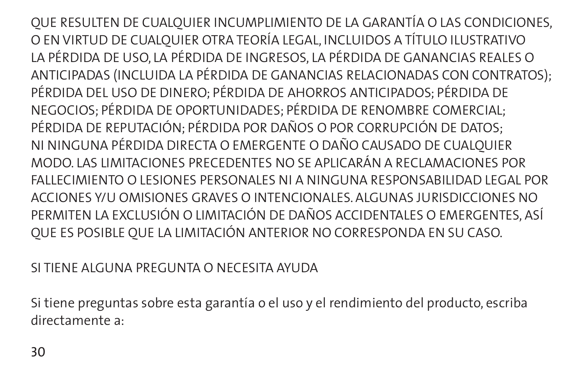QUE RESULTEN DE CUALQUIER INCUMPLIMIENTO DE LA GARANTÍA O LAS CONDICIONES, O EN VIRTUD DE CUALQUIER OTRA TEORÍA LEGAL, INCLUIDOS A TÍTULO ILUSTRATIVO LA PÉRDIDA DE USO, LA PÉRDIDA DE INGRESOS, LA PÉRDIDA DE GANANCIAS REALES O ANTICIPADAS (INCLUIDA LA PÉRDIDA DE GANANCIAS RELACIONADAS CON CONTRATOS); PÉRDIDA DEL USO DE DINERO; PÉRDIDA DE AHORROS ANTICIPADOS; PÉRDIDA DE NEGOCIOS; PÉRDIDA DE OPORTUNIDADES; PÉRDIDA DE RENOMBRE COMERCIAL; PÉRDIDA DE REPUTACIÓN; PÉRDIDA POR DAÑOS O POR CORRUPCIÓN DE DATOS; NI NINGUNA PÉRDIDA DIRECTA O EMERGENTE O DAÑO CAUSADO DE CUALQUIER MODO. LAS LIMITACIONES PRECEDENTES NO SE APLICARÁN A RECLAMACIONES POR FALLECIMIENTO O LESIONES PERSONALES NI A NINGUNA RESPONSABILIDAD LEGAL POR ACCIONES Y/U OMISIONES GRAVES O INTENCIONALES. ALGUNAS JURISDICCIONES NO PERMITEN LA EXCLUSIÓN O LIMITACIÓN DE DAÑOS ACCIDENTALES O EMERGENTES, ASÍ QUE ES POSIBLE QUE LA LIMITACIÓN ANTERIOR NO CORRESPONDA EN SU CASO.

### SI TIENE ALGUNA PREGUNTA O NECESITA AVUDA

Si tiene preguntas sobre esta garantía o el uso y el rendimiento del producto, escriba directamente a: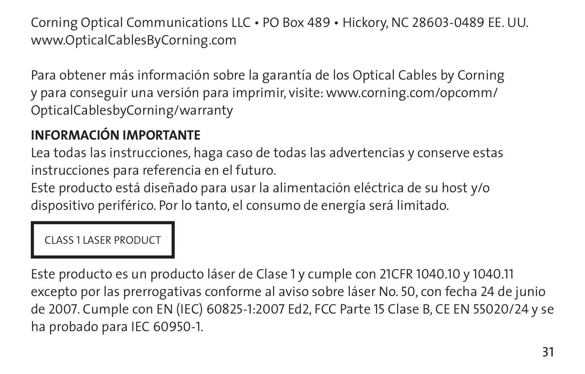Corning Optical Communications LLC • PO Box 489 • Hickory, NC 28603-0489 EE. UU. www.OpticalCablesByCorning.com

Para obtener más información sobre la garantía de los Optical Cables by Corning y para conseguir una versión para imprimir, visite: www.corning.com/opcomm/ OpticalCablesbyCorning/warranty

## **INFORMACIÓN IMPORTANTE**

Lea todas las instrucciones, haga caso de todas las advertencias y conserve estas instrucciones para referencia en el futuro.

Este producto está diseñado para usar la alimentación eléctrica de su host y/o dispositivo periférico. Por lo tanto, el consumo de energía será limitado.

#### Class 1 laser product

Este producto es un producto láser de Clase 1 y cumple con 21CFR 1040.10 y 1040.11 excepto por las prerrogativas conforme al aviso sobre láser No. 50, con fecha 24 de junio de 2007. Cumple con EN (IEC) 60825-1:2007 Ed2, FCC Parte 15 Clase B, CE EN 55020/24 y se ha probado para IEC 60950-1.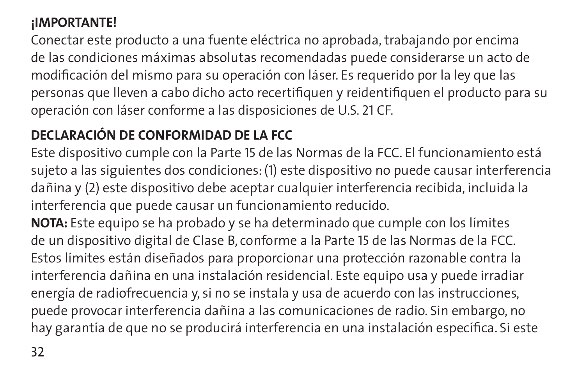## **¡IMPORTANTE!**

Conectar este producto a una fuente eléctrica no aprobada, trabajando por encima de las condiciones máximas absolutas recomendadas puede considerarse un acto de modificación del mismo para su operación con láser. Es requerido por la ley que las personas que lleven a cabo dicho acto recertifiquen y reidentifiquen el producto para su operación con láser conforme a las disposiciones de U.S. 21 CF.

## **DECLARACIÓN DE CONFORMIDAD DE LA FCC**

Este dispositivo cumple con la Parte 15 de las Normas de la FCC. El funcionamiento está sujeto a las siguientes dos condiciones: (1) este dispositivo no puede causar interferencia dañina y (2) este dispositivo debe aceptar cualquier interferencia recibida, incluida la interferencia que puede causar un funcionamiento reducido.

**NOTA:** Este equipo se ha probado y se ha determinado que cumple con los límites de un dispositivo digital de Clase B, conforme a la Parte 15 de las Normas de la FCC. Estos límites están diseñados para proporcionar una protección razonable contra la interferencia dañina en una instalación residencial. Este equipo usa y puede irradiar energía de radiofrecuencia y, si no se instala y usa de acuerdo con las instrucciones, puede provocar interferencia dañina a las comunicaciones de radio. Sin embargo, no hay garantía de que no se producirá interferencia en una instalación específica. Si este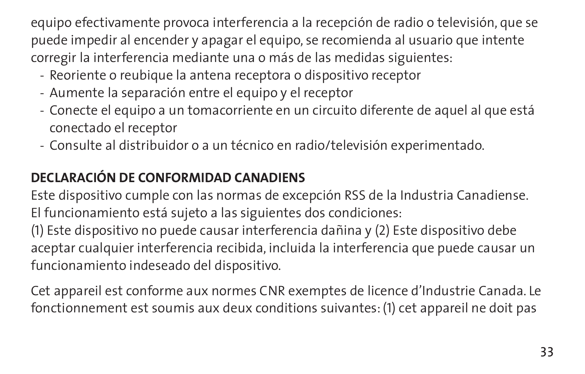equipo efectivamente provoca interferencia a la recepción de radio o televisión, que se puede impedir al encender y apagar el equipo, se recomienda al usuario que intente corregir la interferencia mediante una o más de las medidas siguientes:

- Reoriente o reubique la antena receptora o dispositivo receptor
- Aumente la separación entre el equipo y el receptor
- Conecte el equipo a un tomacorriente en un circuito diferente de aquel al que está conectado el receptor
- Consulte al distribuidor o a un técnico en radio/televisión experimentado.

## **DECLARACIÓN DE CONFORMIDAD CANADIENS**

Este dispositivo cumple con las normas de excepción RSS de la Industria Canadiense. El funcionamiento está sujeto a las siguientes dos condiciones:

(1) Este dispositivo no puede causar interferencia dañina y (2) Este dispositivo debe aceptar cualquier interferencia recibida, incluida la interferencia que puede causar un funcionamiento indeseado del dispositivo.

Cet appareil est conforme aux normes CNR exemptes de licence d'Industrie Canada. Le fonctionnement est soumis aux deux conditions suivantes: (1) cet appareil ne doit pas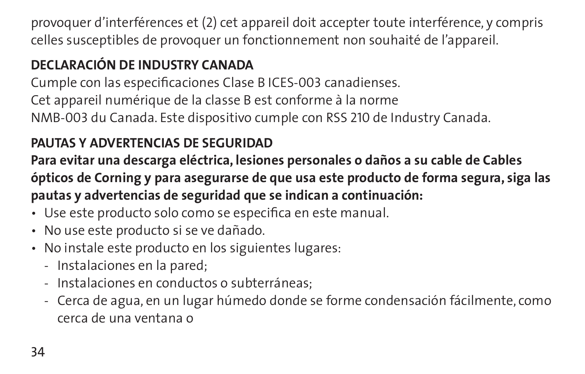provoquer d'interférences et (2) cet appareil doit accepter toute interférence, y compris celles susceptibles de provoquer un fonctionnement non souhaité de l'appareil.

## **DECLARACIÓN DE INDUSTRY CANADA**

Cumple con las especificaciones Clase B ICES-003 canadienses. Cet appareil numérique de la classe B est conforme à la norme NMB-003 du Canada. Este dispositivo cumple con RSS 210 de Industry Canada.

## **PAUTAS Y ADVERTENCIAS DE SEGURIDAD**

**Para evitar una descarga eléctrica, lesiones personales o daños a su cable de Cables ópticos de Corning y para asegurarse de que usa este producto de forma segura, siga las pautas y advertencias de seguridad que se indican a continuación:**

- Use este producto solo como se especifica en este manual.
- No use este producto si se ve dañado.
- No instale este producto en los siguientes lugares:
	- Instalaciones en la pared;
	- Instalaciones en conductos o subterráneas;
	- Cerca de agua, en un lugar húmedo donde se forme condensación fácilmente, como cerca de una ventana o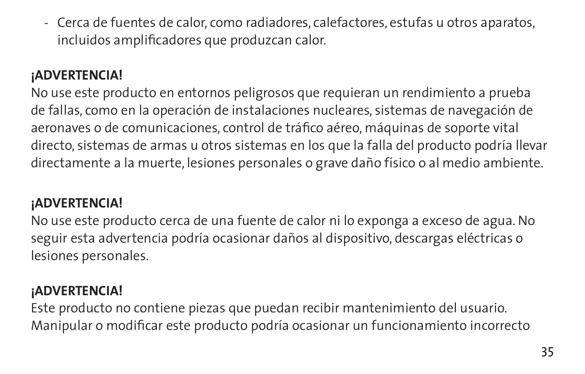- Cerca de fuentes de calor, como radiadores, calefactores, estufas u otros aparatos, incluidos amplificadores que produzcan calor.

## **¡ADVERTENCIA!**

No use este producto en entornos peligrosos que requieran un rendimiento a prueba de fallas, como en la operación de instalaciones nucleares, sistemas de navegación de aeronaves o de comunicaciones, control de tráfico aéreo, máquinas de soporte vital directo, sistemas de armas u otros sistemas en los que la falla del producto podría llevar directamente a la muerte, lesiones personales o grave daño físico o al medio ambiente.

### **¡ADVERTENCIA!**

No use este producto cerca de una fuente de calor ni lo exponga a exceso de agua. No seguir esta advertencia podría ocasionar daños al dispositivo, descargas eléctricas o lesiones personales.

### **¡ADVERTENCIA!**

Este producto no contiene piezas que puedan recibir mantenimiento del usuario. Manipular o modificar este producto podría ocasionar un funcionamiento incorrecto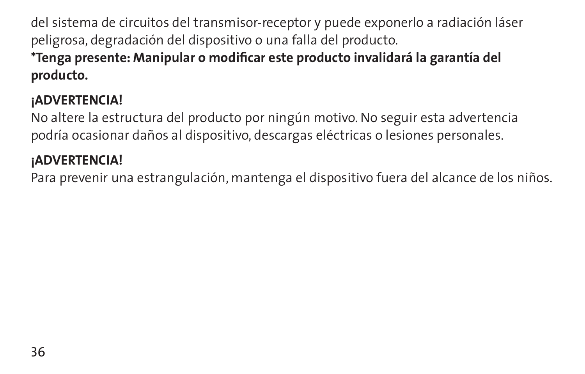del sistema de circuitos del transmisor-receptor y puede exponerlo a radiación láser peligrosa, degradación del dispositivo o una falla del producto. **\*Tenga presente: Manipular o modificar este producto invalidará la garantía del producto.**

## **¡ADVERTENCIA!**

No altere la estructura del producto por ningún motivo. No seguir esta advertencia podría ocasionar daños al dispositivo, descargas eléctricas o lesiones personales.

### **¡ADVERTENCIA!**

Para prevenir una estrangulación, mantenga el dispositivo fuera del alcance de los niños.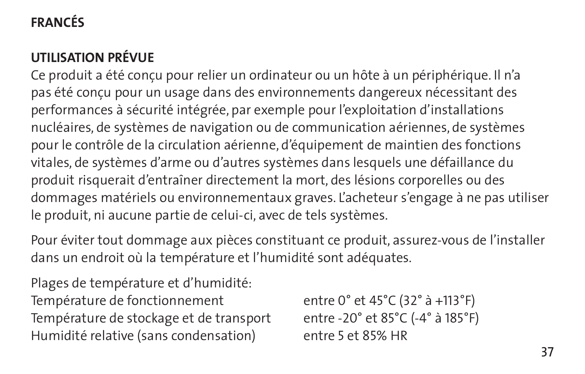# **Francés**

# **Utilisation prévue**

Ce produit a été conçu pour relier un ordinateur ou un hôte à un périphérique. Il n'a pas été conçu pour un usage dans des environnements dangereux nécessitant des performances à sécurité intégrée, par exemple pour l'exploitation d'installations nucléaires, de systèmes de navigation ou de communication aériennes, de systèmes pour le contrôle de la circulation aérienne, d'équipement de maintien des fonctions vitales, de systèmes d'arme ou d'autres systèmes dans lesquels une défaillance du produit risquerait d'entraîner directement la mort, des lésions corporelles ou des dommages matériels ou environnementaux graves. L'acheteur s'engage à ne pas utiliser le produit, ni aucune partie de celui-ci, avec de tels systèmes.

Pour éviter tout dommage aux pièces constituant ce produit, assurez-vous de l'installer dans un endroit où la température et l'humidité sont adéquates.

Plages de température et d'humidité: Température de fonctionnement entre 0° et 45°C (32° à +113°F) Température de stockage et de transport entre -20° et 85°C (-4° à 185°F) Humidité relative (sans condensation) entre 5 et 85% HR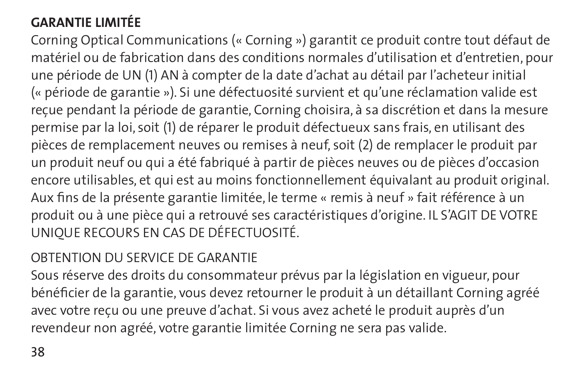## **GARANTIE LIMITÉE**

Corning Optical Communications (« Corning ») garantit ce produit contre tout défaut de matériel ou de fabrication dans des conditions normales d'utilisation et d'entretien, pour une période de UN (1) AN à compter de la date d'achat au détail par l'acheteur initial (« période de garantie »). Si une défectuosité survient et qu'une réclamation valide est reçue pendant la période de garantie, Corning choisira, à sa discrétion et dans la mesure permise par la loi, soit (1) de réparer le produit défectueux sans frais, en utilisant des pièces de remplacement neuves ou remises à neuf, soit (2) de remplacer le produit par un produit neuf ou qui a été fabriqué à partir de pièces neuves ou de pièces d'occasion encore utilisables, et qui est au moins fonctionnellement équivalant au produit original. Aux fins de la présente garantie limitée, le terme « remis à neuf » fait référence à un produit ou à une pièce qui a retrouvé ses caractéristiques d'origine. IL S'AGIT DE VOTRE UNIQUE RECOURS EN CAS DE DÉFECTUOSITÉ.

### OBTENTION DU SERVICE DE GARANTIE

Sous réserve des droits du consommateur prévus par la législation en vigueur, pour bénéficier de la garantie, vous devez retourner le produit à un détaillant Corning agréé avec votre reçu ou une preuve d'achat. Si vous avez acheté le produit auprès d'un revendeur non agréé, votre garantie limitée Corning ne sera pas valide.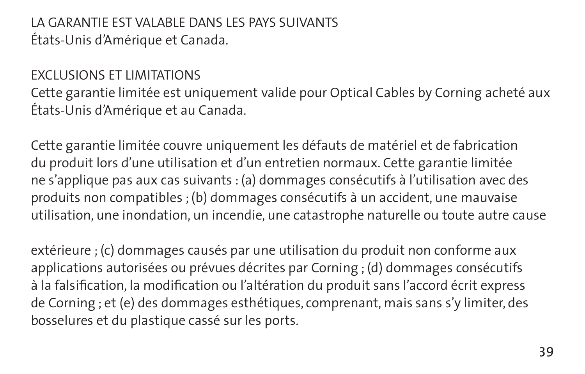LA GARANTIE EST VALABLE DANS LES PAYS SUIVANTS États-Unis d'Amérique et Canada.

#### EXCLUSIONS ET LIMITATIONS

Cette garantie limitée est uniquement valide pour Optical Cables by Corning acheté aux États-Unis d'Amérique et au Canada.

Cette garantie limitée couvre uniquement les défauts de matériel et de fabrication du produit lors d'une utilisation et d'un entretien normaux. Cette garantie limitée ne s'applique pas aux cas suivants : (a) dommages consécutifs à l'utilisation avec des produits non compatibles ; (b) dommages consécutifs à un accident, une mauvaise utilisation, une inondation, un incendie, une catastrophe naturelle ou toute autre cause

extérieure ; (c) dommages causés par une utilisation du produit non conforme aux applications autorisées ou prévues décrites par Corning ; (d) dommages consécutifs à la falsification, la modification ou l'altération du produit sans l'accord écrit express de Corning ; et (e) des dommages esthétiques, comprenant, mais sans s'y limiter, des bosselures et du plastique cassé sur les ports.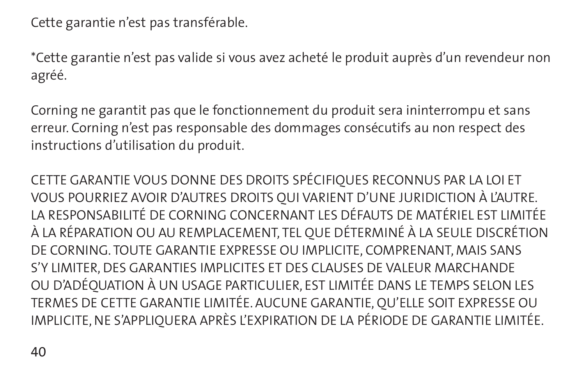Cette garantie n'est pas transférable.

\*Cette garantie n'est pas valide si vous avez acheté le produit auprès d'un revendeur non agréé.

Corning ne garantit pas que le fonctionnement du produit sera ininterrompu et sans erreur. Corning n'est pas responsable des dommages consécutifs au non respect des instructions d'utilisation du produit.

CETTE GARANTIE VOUS DONNE DES DROITS SPÉCIFIQUES RECONNUS PAR LA LOI ET VOUS POURRIEZ AVOIR D'AUTRES DROITS QUI VARIENT D'UNE JURIDICTION À L'AUTRE. LA RESPONSABILITÉ DE CORNING CONCERNANT LES DÉFAUTS DE MATÉRIEL EST LIMITÉE À LA RÉPARATION OU AU REMPLACEMENT, TEL QUE DÉTERMINÉ À LA SEULE DISCRÉTION DE CORNING. TOUTE GARANTIE EXPRESSE OU IMPLICITE, COMPRENANT, MAIS SANS S'Y LIMITER, DES GARANTIES IMPLICITES ET DES CLAUSES DE VALEUR MARCHANDE OU D'ADÉQUATION À UN USAGE PARTICULIER, EST LIMITÉE DANS LE TEMPS SELON LES TERMES DE CETTE GARANTIE LIMITÉE. AUCUNE GARANTIE, QU'ELLE SOIT EXPRESSE OU IMPLICITE, NE S'APPLIQUERA APRÈS L'EXPIRATION DE LA PÉRIODE DE GARANTIE LIMITÉE.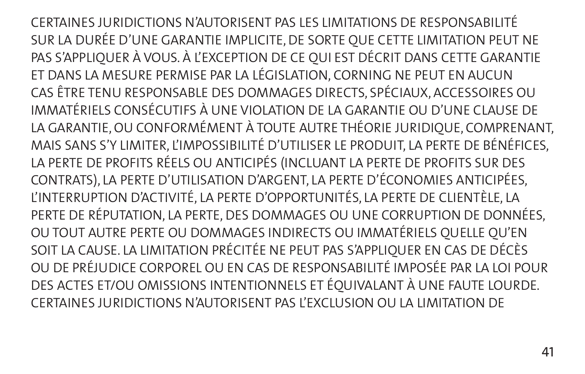CERTAINES JURIDICTIONS N'AUTORISENT PAS LES LIMITATIONS DE RESPONSABILITÉ SUR LA DURÉE D'UNE GARANTIE IMPLICITE, DE SORTE QUE CETTE LIMITATION PEUT NE PAS S'APPLIQUER À VOUS. À L'EXCEPTION DE CE QUI EST DÉCRIT DANS CETTE GARANTIE ET DANS LA MESURE PERMISE PAR LA LÉGISLATION, CORNING NE PEUT EN AUCUN CAS ÊTRE TENU RESPONSABLE DES DOMMAGES DIRECTS, SPÉCIAUX, ACCESSOIRES OU IMMATÉRIELS CONSÉCUTIFS À UNE VIOLATION DE LA GARANTIE OU D'UNE CLAUSE DE LA GARANTIE, OU CONFORMÉMENT À TOUTE AUTRE THÉORIE JURIDIQUE, COMPRENANT, MAIS SANS S'Y LIMITER, L'IMPOSSIBILITÉ D'UTILISER LE PRODUIT, LA PERTE DE BÉNÉFICES, LA PERTE DE PROFITS RÉELS OU ANTICIPÉS (INCLUANT LA PERTE DE PROFITS SUR DES CONTRATS), LA PERTE D'UTILISATION D'ARGENT, LA PERTE D'ÉCONOMIES ANTICIPÉES, L'INTERRUPTION D'ACTIVITÉ, LA PERTE D'OPPORTUNITÉS, LA PERTE DE CLIENTÈLE, LA PERTE DE RÉPUTATION, LA PERTE, DES DOMMAGES OU UNE CORRUPTION DE DONNÉES, OU TOUT AUTRE PERTE OU DOMMAGES INDIRECTS OU IMMATÉRIELS QUELLE QU'EN SOIT LA CAUSE. LA LIMITATION PRÉCITÉE NE PEUT PAS S'APPLIQUER EN CAS DE DÉCÈS OU DE PRÉJUDICE CORPOREL OU EN CAS DE RESPONSABILITÉ IMPOSÉE PAR LA LOI POUR DES ACTES ET/OU OMISSIONS INTENTIONNELS ET ÉQUIVALANT À UNE FAUTE LOURDE. CERTAINES JURIDICTIONS N'AUTORISENT PAS L'EXCLUSION OU LA LIMITATION DE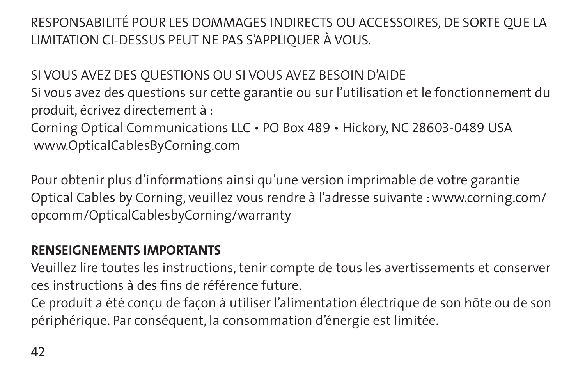RESPONSABILITÉ POUR LES DOMMAGES INDIRECTS OU ACCESSOIRES, DE SORTE QUE LA LIMITATION CI-DESSUS PEUT NE PAS S'APPLIQUER À VOUS.

SI VOUS AVEZ DES QUESTIONS OU SI VOUS AVEZ BESOIN D'AIDE

Si vous avez des questions sur cette garantie ou sur l'utilisation et le fonctionnement du produit, écrivez directement à :

Corning Optical Communications LLC • PO Box 489 • Hickory, NC 28603-0489 USA www.OpticalCablesByCorning.com

Pour obtenir plus d'informations ainsi qu'une version imprimable de votre garantie Optical Cables by Corning, veuillez vous rendre à l'adresse suivante : www.corning.com/ opcomm/OpticalCablesbyCorning/warranty

### **RENSEIGNEMENTS IMPORTANTS**

Veuillez lire toutes les instructions, tenir compte de tous les avertissements et conserver ces instructions à des fins de référence future.

Ce produit a été conçu de façon à utiliser l'alimentation électrique de son hôte ou de son périphérique. Par conséquent, la consommation d'énergie est limitée.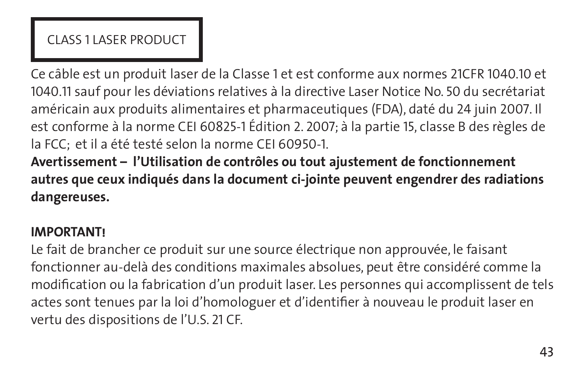## Class 1 laser product

Ce câble est un produit laser de la Classe 1 et est conforme aux normes 21CFR 1040.10 et 1040.11 sauf pour les déviations relatives à la directive Laser Notice No. 50 du secrétariat américain aux produits alimentaires et pharmaceutiques (FDA), daté du 24 juin 2007. Il est conforme à la norme CEI 60825-1 Édition 2. 2007; à la partie 15, classe B des règles de la FCC; et il a été testé selon la norme CEI 60950-1.

**Avertissement – l'Utilisation de contrôles ou tout ajustement de fonctionnement autres que ceux indiqués dans la document ci-jointe peuvent engendrer des radiations dangereuses.**

### **IMPORTANT!**

Le fait de brancher ce produit sur une source électrique non approuvée, le faisant fonctionner au-delà des conditions maximales absolues, peut être considéré comme la modification ou la fabrication d'un produit laser. Les personnes qui accomplissent de tels actes sont tenues par la loi d'homologuer et d'identifier à nouveau le produit laser en vertu des dispositions de l'U.S. 21 CF.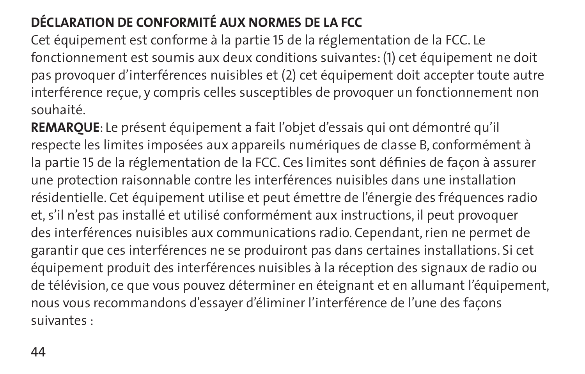# **DÉCLARATION DE CONFORMITÉ AUX NORMES DE LA FCC**

Cet équipement est conforme à la partie 15 de la réglementation de la FCC. Le fonctionnement est soumis aux deux conditions suivantes: (1) cet équipement ne doit pas provoquer d'interférences nuisibles et (2) cet équipement doit accepter toute autre interférence reçue, y compris celles susceptibles de provoquer un fonctionnement non souhaité.

**REMARQUE**: Le présent équipement a fait l'objet d'essais qui ont démontré qu'il respecte les limites imposées aux appareils numériques de classe B, conformément à la partie 15 de la réglementation de la FCC. Ces limites sont définies de façon à assurer une protection raisonnable contre les interférences nuisibles dans une installation résidentielle. Cet équipement utilise et peut émettre de l'énergie des fréquences radio et, s'il n'est pas installé et utilisé conformément aux instructions, il peut provoquer des interférences nuisibles aux communications radio. Cependant, rien ne permet de garantir que ces interférences ne se produiront pas dans certaines installations. Si cet équipement produit des interférences nuisibles à la réception des signaux de radio ou de télévision, ce que vous pouvez déterminer en éteignant et en allumant l'équipement, nous vous recommandons d'essayer d'éliminer l'interférence de l'une des façons suivantes :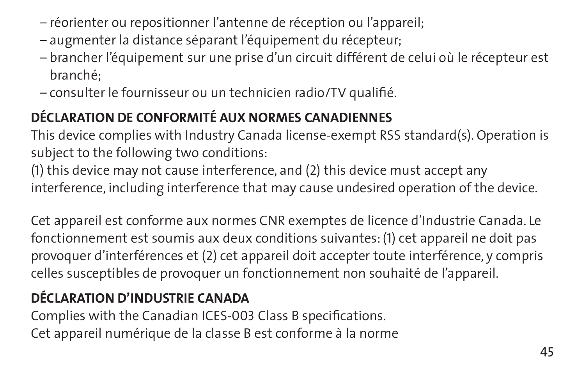- réorienter ou repositionner l'antenne de réception ou l'appareil;
- augmenter la distance séparant l'équipement du récepteur;
- brancher l'équipement sur une prise d'un circuit différent de celui où le récepteur est branché;
- consulter le fournisseur ou un technicien radio/TV qualifié.

# **DÉCLARATION DE CONFORMITÉ AUX NORMES CANADIENNES**

This device complies with Industry Canada license-exempt RSS standard(s). Operation is subject to the following two conditions:

(1) this device may not cause interference, and (2) this device must accept any interference, including interference that may cause undesired operation of the device.

Cet appareil est conforme aux normes CNR exemptes de licence d'Industrie Canada. Le fonctionnement est soumis aux deux conditions suivantes: (1) cet appareil ne doit pas provoquer d'interférences et (2) cet appareil doit accepter toute interférence, y compris celles susceptibles de provoquer un fonctionnement non souhaité de l'appareil.

# **DÉCLARATION D'INDUSTRIE CANADA**

Complies with the Canadian ICES-003 Class B specifications. Cet appareil numérique de la classe B est conforme à la norme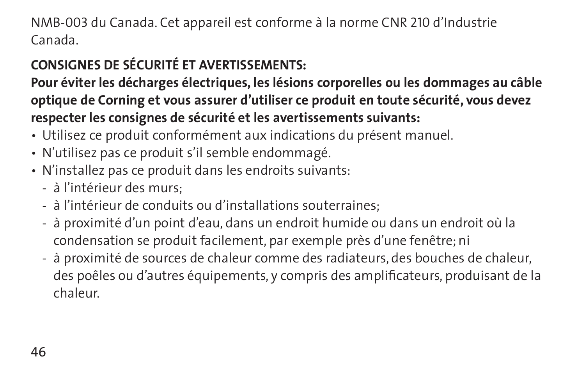NMB-003 du Canada. Cet appareil est conforme à la norme CNR 210 d'Industrie Canada.

## **CONSIGNES DE SÉCURITÉ ET AVERTISSEMENTS:**

**Pour éviter les décharges électriques, les lésions corporelles ou les dommages au câble optique de Corning et vous assurer d'utiliser ce produit en toute sécurité, vous devez respecter les consignes de sécurité et les avertissements suivants:**

- Utilisez ce produit conformément aux indications du présent manuel.
- N'utilisez pas ce produit s'il semble endommagé.
- N'installez pas ce produit dans les endroits suivants:
	- à l'intérieur des murs;
	- à l'intérieur de conduits ou d'installations souterraines;
	- à proximité d'un point d'eau, dans un endroit humide ou dans un endroit où la condensation se produit facilement, par exemple près d'une fenêtre; ni
	- à proximité de sources de chaleur comme des radiateurs, des bouches de chaleur, des poêles ou d'autres équipements, y compris des amplificateurs, produisant de la chaleur.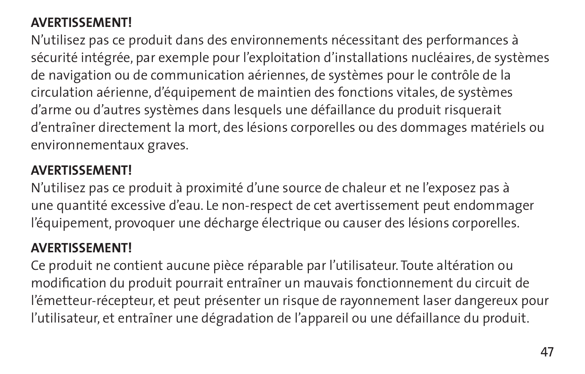### **AVERTISSEMENT!**

N'utilisez pas ce produit dans des environnements nécessitant des performances à sécurité intégrée, par exemple pour l'exploitation d'installations nucléaires, de systèmes de navigation ou de communication aériennes, de systèmes pour le contrôle de la circulation aérienne, d'équipement de maintien des fonctions vitales, de systèmes d'arme ou d'autres systèmes dans lesquels une défaillance du produit risquerait d'entraîner directement la mort, des lésions corporelles ou des dommages matériels ou environnementaux graves.

### **AVERTISSEMENT!**

N'utilisez pas ce produit à proximité d'une source de chaleur et ne l'exposez pas à une quantité excessive d'eau. Le non-respect de cet avertissement peut endommager l'équipement, provoquer une décharge électrique ou causer des lésions corporelles.

### **AVERTISSEMENT!**

Ce produit ne contient aucune pièce réparable par l'utilisateur. Toute altération ou modification du produit pourrait entraîner un mauvais fonctionnement du circuit de l'émetteur-récepteur, et peut présenter un risque de rayonnement laser dangereux pour l'utilisateur, et entraîner une dégradation de l'appareil ou une défaillance du produit.